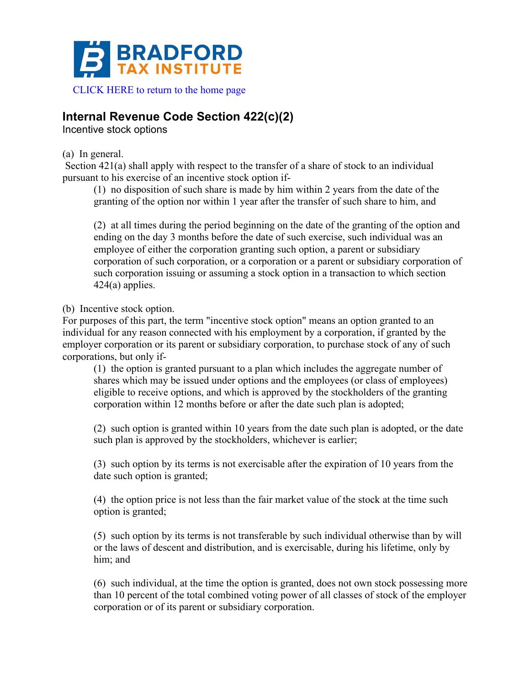

## **Internal Revenue Code Section 422(c)(2)**

Incentive stock options

(a) In general.

Section 421(a) shall apply with respect to the transfer of a share of stock to an individual pursuant to his exercise of an incentive stock option if-

(1) no disposition of such share is made by him within 2 years from the date of the granting of the option nor within 1 year after the transfer of such share to him, and

(2) at all times during the period beginning on the date of the granting of the option and ending on the day 3 months before the date of such exercise, such individual was an employee of either the corporation granting such option, a parent or subsidiary corporation of such corporation, or a corporation or a parent or subsidiary corporation of such corporation issuing or assuming a stock option in a transaction to which section 424(a) applies.

(b) Incentive stock option.

For purposes of this part, the term "incentive stock option" means an option granted to an individual for any reason connected with his employment by a corporation, if granted by the employer corporation or its parent or subsidiary corporation, to purchase stock of any of such corporations, but only if-

(1) the option is granted pursuant to a plan which includes the aggregate number of shares which may be issued under options and the employees (or class of employees) eligible to receive options, and which is approved by the stockholders of the granting corporation within 12 months before or after the date such plan is adopted;

(2) such option is granted within 10 years from the date such plan is adopted, or the date such plan is approved by the stockholders, whichever is earlier;

(3) such option by its terms is not exercisable after the expiration of 10 years from the date such option is granted;

(4) the option price is not less than the fair market value of the stock at the time such option is granted;

(5) such option by its terms is not transferable by such individual otherwise than by will or the laws of descent and distribution, and is exercisable, during his lifetime, only by him; and

(6) such individual, at the time the option is granted, does not own stock possessing more than 10 percent of the total combined voting power of all classes of stock of the employer corporation or of its parent or subsidiary corporation.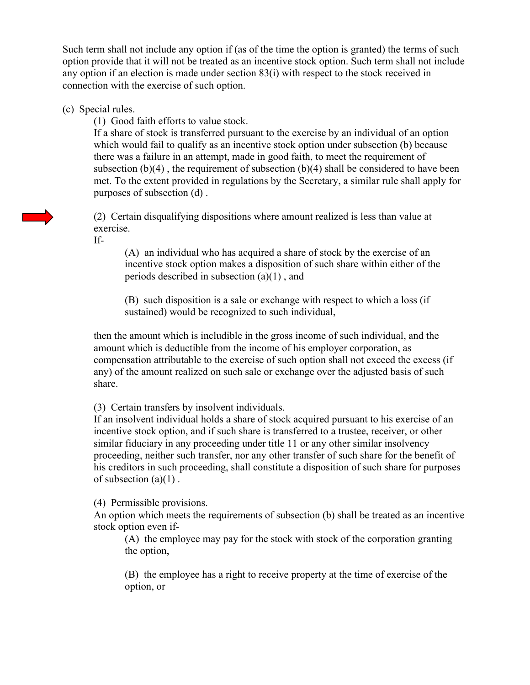Such term shall not include any option if (as of the time the option is granted) the terms of such option provide that it will not be treated as an incentive stock option. Such term shall not include any option if an election is made under section 83(i) with respect to the stock received in connection with the exercise of such option.

(c) Special rules.

(1) Good faith efforts to value stock.

If a share of stock is transferred pursuant to the exercise by an individual of an option which would fail to qualify as an incentive stock option under subsection (b) because there was a failure in an attempt, made in good faith, to meet the requirement of subsection  $(b)(4)$ , the requirement of subsection  $(b)(4)$  shall be considered to have been met. To the extent provided in regulations by the Secretary, a similar rule shall apply for purposes of subsection (d) .

(2) Certain disqualifying dispositions where amount realized is less than value at exercise.

If-

(A) an individual who has acquired a share of stock by the exercise of an incentive stock option makes a disposition of such share within either of the periods described in subsection (a)(1) , and

(B) such disposition is a sale or exchange with respect to which a loss (if sustained) would be recognized to such individual,

then the amount which is includible in the gross income of such individual, and the amount which is deductible from the income of his employer corporation, as compensation attributable to the exercise of such option shall not exceed the excess (if any) of the amount realized on such sale or exchange over the adjusted basis of such share.

(3) Certain transfers by insolvent individuals.

If an insolvent individual holds a share of stock acquired pursuant to his exercise of an incentive stock option, and if such share is transferred to a trustee, receiver, or other similar fiduciary in any proceeding under title 11 or any other similar insolvency proceeding, neither such transfer, nor any other transfer of such share for the benefit of his creditors in such proceeding, shall constitute a disposition of such share for purposes of subsection  $(a)(1)$ .

(4) Permissible provisions.

An option which meets the requirements of subsection (b) shall be treated as an incentive stock option even if-

(A) the employee may pay for the stock with stock of the corporation granting the option,

(B) the employee has a right to receive property at the time of exercise of the option, or